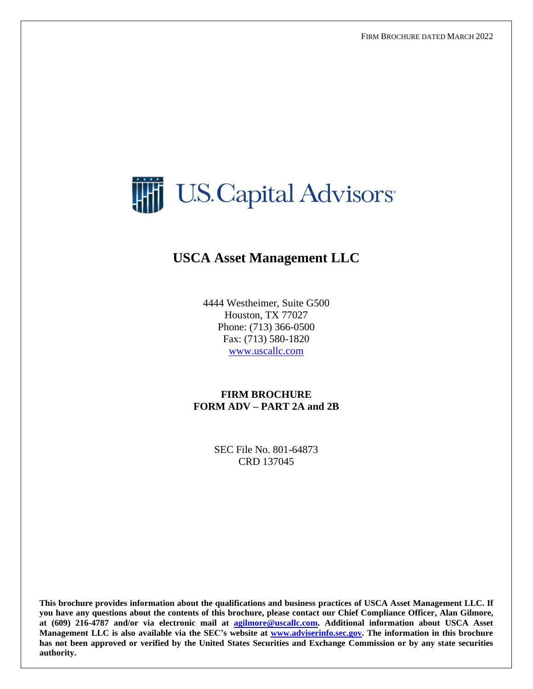

# **USCA Asset Management LLC**

4444 Westheimer, Suite G500 Houston, TX 77027 Phone: (713) 366-0500 Fax: (713) 580-1820 [www.uscallc.com](http://www.uscallc.com/)

**FIRM BROCHURE FORM ADV – PART 2A and 2B**

> SEC File No. 801-64873 CRD 137045

**This brochure provides information about the qualifications and business practices of USCA Asset Management LLC. If you have any questions about the contents of this brochure, please contact our Chief Compliance Officer, Alan Gilmore, at (609) 216-4787 and/or via electronic mail at [agilmore@uscallc.com.](mailto:agilmore@uscallc.com) Additional information about USCA Asset Management LLC is also available via the SEC's website at [www.adviserinfo.sec.gov.](http://www.adviserinfo.sec.gov/) The information in this brochure has not been approved or verified by the United States Securities and Exchange Commission or by any state securities authority.**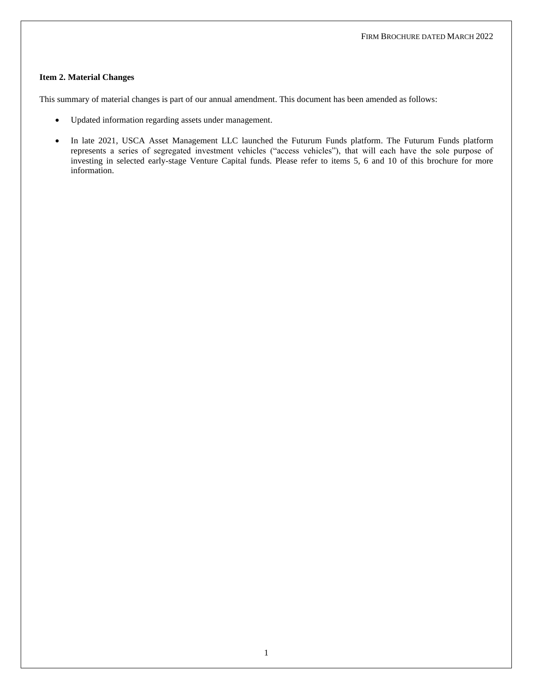#### <span id="page-1-0"></span>**Item 2. Material Changes**

This summary of material changes is part of our annual amendment. This document has been amended as follows:

- Updated information regarding assets under management.
- In late 2021, USCA Asset Management LLC launched the Futurum Funds platform. The Futurum Funds platform represents a series of segregated investment vehicles ("access vehicles"), that will each have the sole purpose of investing in selected early-stage Venture Capital funds. Please refer to items 5, 6 and 10 of this brochure for more information.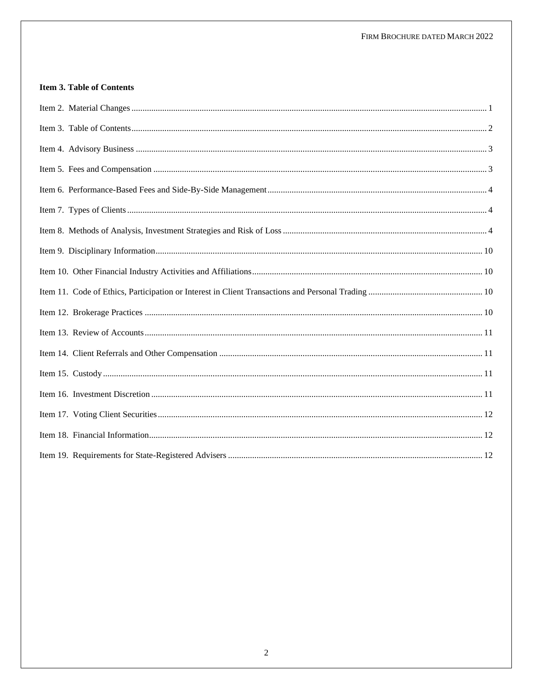# <span id="page-2-0"></span>**Item 3. Table of Contents**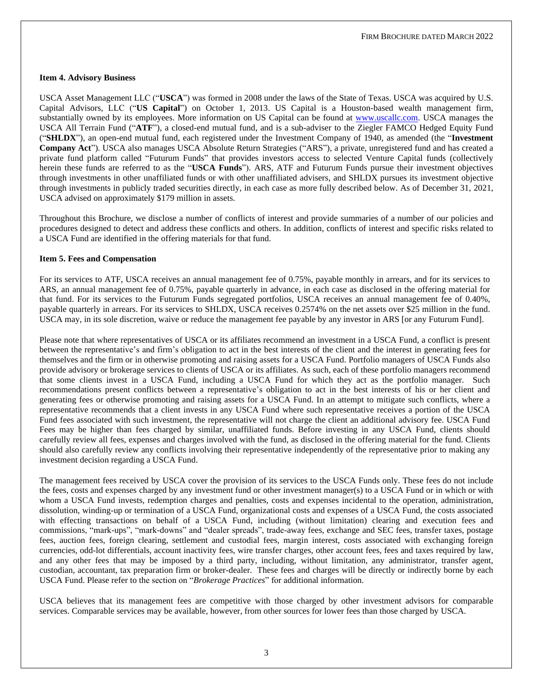#### <span id="page-3-0"></span>**Item 4. Advisory Business**

USCA Asset Management LLC ("**USCA**") was formed in 2008 under the laws of the State of Texas. USCA was acquired by U.S. Capital Advisors, LLC ("**US Capital**") on October 1, 2013. US Capital is a Houston-based wealth management firm, substantially owned by its employees. More information on US Capital can be found at [www.uscallc.com.](http://www.uscallc.com/) USCA manages the USCA All Terrain Fund ("**ATF**"), a closed-end mutual fund, and is a sub-adviser to the Ziegler FAMCO Hedged Equity Fund ("**SHLDX**"), an open-end mutual fund, each registered under the Investment Company of 1940, as amended (the "**Investment Company Act**"). USCA also manages USCA Absolute Return Strategies ("ARS"), a private, unregistered fund and has created a private fund platform called "Futurum Funds" that provides investors access to selected Venture Capital funds (collectively herein these funds are referred to as the "**USCA Funds**"). ARS, ATF and Futurum Funds pursue their investment objectives through investments in other unaffiliated funds or with other unaffiliated advisers, and SHLDX pursues its investment objective through investments in publicly traded securities directly, in each case as more fully described below. As of December 31, 2021, USCA advised on approximately \$179 million in assets.

Throughout this Brochure, we disclose a number of conflicts of interest and provide summaries of a number of our policies and procedures designed to detect and address these conflicts and others. In addition, conflicts of interest and specific risks related to a USCA Fund are identified in the offering materials for that fund.

#### <span id="page-3-1"></span>**Item 5. Fees and Compensation**

For its services to ATF, USCA receives an annual management fee of 0.75%, payable monthly in arrears, and for its services to ARS, an annual management fee of 0.75%, payable quarterly in advance, in each case as disclosed in the offering material for that fund. For its services to the Futurum Funds segregated portfolios, USCA receives an annual management fee of 0.40%, payable quarterly in arrears. For its services to SHLDX, USCA receives 0.2574% on the net assets over \$25 million in the fund. USCA may, in its sole discretion, waive or reduce the management fee payable by any investor in ARS [or any Futurum Fund].

Please note that where representatives of USCA or its affiliates recommend an investment in a USCA Fund, a conflict is present between the representative's and firm's obligation to act in the best interests of the client and the interest in generating fees for themselves and the firm or in otherwise promoting and raising assets for a USCA Fund. Portfolio managers of USCA Funds also provide advisory or brokerage services to clients of USCA or its affiliates. As such, each of these portfolio managers recommend that some clients invest in a USCA Fund, including a USCA Fund for which they act as the portfolio manager. Such recommendations present conflicts between a representative's obligation to act in the best interests of his or her client and generating fees or otherwise promoting and raising assets for a USCA Fund. In an attempt to mitigate such conflicts, where a representative recommends that a client invests in any USCA Fund where such representative receives a portion of the USCA Fund fees associated with such investment, the representative will not charge the client an additional advisory fee. USCA Fund Fees may be higher than fees charged by similar, unaffiliated funds. Before investing in any USCA Fund, clients should carefully review all fees, expenses and charges involved with the fund, as disclosed in the offering material for the fund. Clients should also carefully review any conflicts involving their representative independently of the representative prior to making any investment decision regarding a USCA Fund.

The management fees received by USCA cover the provision of its services to the USCA Funds only. These fees do not include the fees, costs and expenses charged by any investment fund or other investment manager(s) to a USCA Fund or in which or with whom a USCA Fund invests, redemption charges and penalties, costs and expenses incidental to the operation, administration, dissolution, winding-up or termination of a USCA Fund, organizational costs and expenses of a USCA Fund, the costs associated with effecting transactions on behalf of a USCA Fund, including (without limitation) clearing and execution fees and commissions, "mark-ups", "mark-downs" and "dealer spreads", trade-away fees, exchange and SEC fees, transfer taxes, postage fees, auction fees, foreign clearing, settlement and custodial fees, margin interest, costs associated with exchanging foreign currencies, odd-lot differentials, account inactivity fees, wire transfer charges, other account fees, fees and taxes required by law, and any other fees that may be imposed by a third party, including, without limitation, any administrator, transfer agent, custodian, accountant, tax preparation firm or broker-dealer. These fees and charges will be directly or indirectly borne by each USCA Fund. Please refer to the section on "*Brokerage Practices*" for additional information.

USCA believes that its management fees are competitive with those charged by other investment advisors for comparable services. Comparable services may be available, however, from other sources for lower fees than those charged by USCA.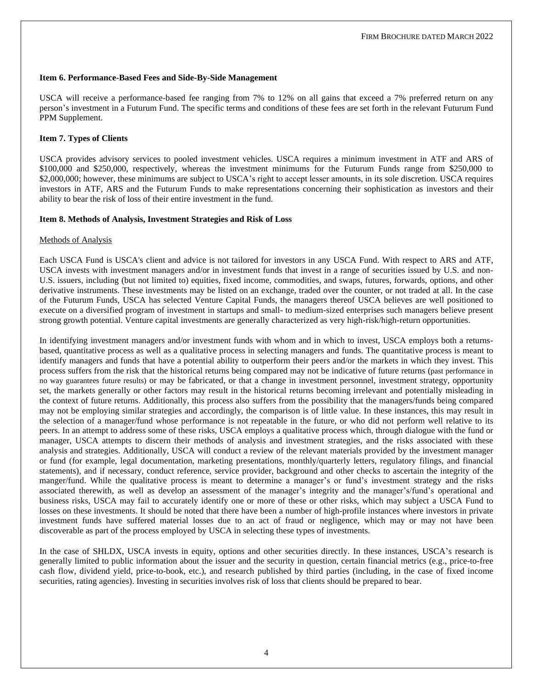#### <span id="page-4-0"></span>**Item 6. Performance-Based Fees and Side-By-Side Management**

USCA will receive a performance-based fee ranging from 7% to 12% on all gains that exceed a 7% preferred return on any person's investment in a Futurum Fund. The specific terms and conditions of these fees are set forth in the relevant Futurum Fund PPM Supplement.

#### <span id="page-4-1"></span>**Item 7. Types of Clients**

USCA provides advisory services to pooled investment vehicles. USCA requires a minimum investment in ATF and ARS of \$100,000 and \$250,000, respectively, whereas the investment minimums for the Futurum Funds range from \$250,000 to \$2,000,000; however, these minimums are subject to USCA's right to accept lesser amounts, in its sole discretion. USCA requires investors in ATF, ARS and the Futurum Funds to make representations concerning their sophistication as investors and their ability to bear the risk of loss of their entire investment in the fund.

#### <span id="page-4-2"></span>**Item 8. Methods of Analysis, Investment Strategies and Risk of Loss**

#### Methods of Analysis

Each USCA Fund is USCA's client and advice is not tailored for investors in any USCA Fund. With respect to ARS and ATF, USCA invests with investment managers and/or in investment funds that invest in a range of securities issued by U.S. and non-U.S. issuers, including (but not limited to) equities, fixed income, commodities, and swaps, futures, forwards, options, and other derivative instruments. These investments may be listed on an exchange, traded over the counter, or not traded at all. In the case of the Futurum Funds, USCA has selected Venture Capital Funds, the managers thereof USCA believes are well positioned to execute on a diversified program of investment in startups and small- to medium-sized enterprises such managers believe present strong growth potential. Venture capital investments are generally characterized as very high-risk/high-return opportunities.

In identifying investment managers and/or investment funds with whom and in which to invest, USCA employs both a returnsbased, quantitative process as well as a qualitative process in selecting managers and funds. The quantitative process is meant to identify managers and funds that have a potential ability to outperform their peers and/or the markets in which they invest. This process suffers from the risk that the historical returns being compared may not be indicative of future returns (past performance in no way guarantees future results) or may be fabricated, or that a change in investment personnel, investment strategy, opportunity set, the markets generally or other factors may result in the historical returns becoming irrelevant and potentially misleading in the context of future returns. Additionally, this process also suffers from the possibility that the managers/funds being compared may not be employing similar strategies and accordingly, the comparison is of little value. In these instances, this may result in the selection of a manager/fund whose performance is not repeatable in the future, or who did not perform well relative to its peers. In an attempt to address some of these risks, USCA employs a qualitative process which, through dialogue with the fund or manager, USCA attempts to discern their methods of analysis and investment strategies, and the risks associated with these analysis and strategies. Additionally, USCA will conduct a review of the relevant materials provided by the investment manager or fund (for example, legal documentation, marketing presentations, monthly/quarterly letters, regulatory filings, and financial statements), and if necessary, conduct reference, service provider, background and other checks to ascertain the integrity of the manger/fund. While the qualitative process is meant to determine a manager's or fund's investment strategy and the risks associated therewith, as well as develop an assessment of the manager's integrity and the manager's/fund's operational and business risks, USCA may fail to accurately identify one or more of these or other risks, which may subject a USCA Fund to losses on these investments. It should be noted that there have been a number of high-profile instances where investors in private investment funds have suffered material losses due to an act of fraud or negligence, which may or may not have been discoverable as part of the process employed by USCA in selecting these types of investments.

In the case of SHLDX, USCA invests in equity, options and other securities directly. In these instances, USCA's research is generally limited to public information about the issuer and the security in question, certain financial metrics (e.g., price-to-free cash flow, dividend yield, price-to-book, etc.), and research published by third parties (including, in the case of fixed income securities, rating agencies). Investing in securities involves risk of loss that clients should be prepared to bear.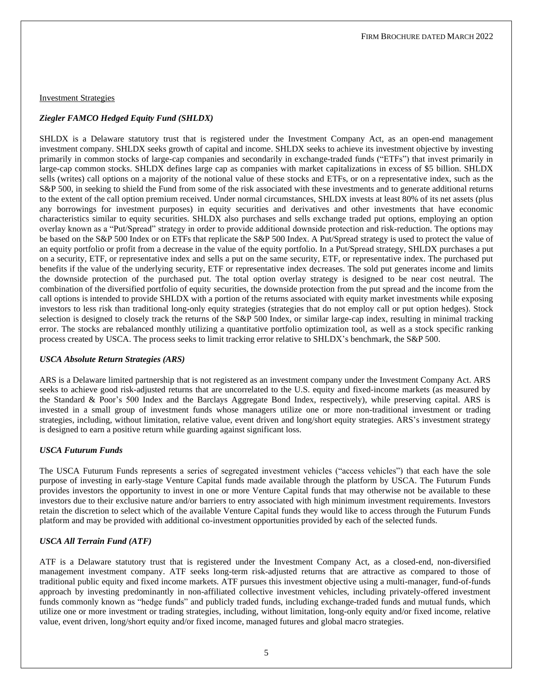#### Investment Strategies

#### *Ziegler FAMCO Hedged Equity Fund (SHLDX)*

SHLDX is a Delaware statutory trust that is registered under the Investment Company Act, as an open-end management investment company. SHLDX seeks growth of capital and income. SHLDX seeks to achieve its investment objective by investing primarily in common stocks of large-cap companies and secondarily in exchange-traded funds ("ETFs") that invest primarily in large-cap common stocks. SHLDX defines large cap as companies with market capitalizations in excess of \$5 billion. SHLDX sells (writes) call options on a majority of the notional value of these stocks and ETFs, or on a representative index, such as the S&P 500, in seeking to shield the Fund from some of the risk associated with these investments and to generate additional returns to the extent of the call option premium received. Under normal circumstances, SHLDX invests at least 80% of its net assets (plus any borrowings for investment purposes) in equity securities and derivatives and other investments that have economic characteristics similar to equity securities. SHLDX also purchases and sells exchange traded put options, employing an option overlay known as a "Put/Spread" strategy in order to provide additional downside protection and risk-reduction. The options may be based on the S&P 500 Index or on ETFs that replicate the S&P 500 Index. A Put/Spread strategy is used to protect the value of an equity portfolio or profit from a decrease in the value of the equity portfolio. In a Put/Spread strategy, SHLDX purchases a put on a security, ETF, or representative index and sells a put on the same security, ETF, or representative index. The purchased put benefits if the value of the underlying security, ETF or representative index decreases. The sold put generates income and limits the downside protection of the purchased put. The total option overlay strategy is designed to be near cost neutral. The combination of the diversified portfolio of equity securities, the downside protection from the put spread and the income from the call options is intended to provide SHLDX with a portion of the returns associated with equity market investments while exposing investors to less risk than traditional long-only equity strategies (strategies that do not employ call or put option hedges). Stock selection is designed to closely track the returns of the S&P 500 Index, or similar large-cap index, resulting in minimal tracking error. The stocks are rebalanced monthly utilizing a quantitative portfolio optimization tool, as well as a stock specific ranking process created by USCA. The process seeks to limit tracking error relative to SHLDX's benchmark, the S&P 500.

#### *USCA Absolute Return Strategies (ARS)*

ARS is a Delaware limited partnership that is not registered as an investment company under the Investment Company Act. ARS seeks to achieve good risk-adjusted returns that are uncorrelated to the U.S. equity and fixed-income markets (as measured by the Standard & Poor's 500 Index and the Barclays Aggregate Bond Index, respectively), while preserving capital. ARS is invested in a small group of investment funds whose managers utilize one or more non-traditional investment or trading strategies, including, without limitation, relative value, event driven and long/short equity strategies. ARS's investment strategy is designed to earn a positive return while guarding against significant loss.

#### *USCA Futurum Funds*

The USCA Futurum Funds represents a series of segregated investment vehicles ("access vehicles") that each have the sole purpose of investing in early-stage Venture Capital funds made available through the platform by USCA. The Futurum Funds provides investors the opportunity to invest in one or more Venture Capital funds that may otherwise not be available to these investors due to their exclusive nature and/or barriers to entry associated with high minimum investment requirements. Investors retain the discretion to select which of the available Venture Capital funds they would like to access through the Futurum Funds platform and may be provided with additional co-investment opportunities provided by each of the selected funds.

#### *USCA All Terrain Fund (ATF)*

ATF is a Delaware statutory trust that is registered under the Investment Company Act, as a closed-end, non-diversified management investment company. ATF seeks long-term risk-adjusted returns that are attractive as compared to those of traditional public equity and fixed income markets. ATF pursues this investment objective using a multi-manager, fund-of-funds approach by investing predominantly in non-affiliated collective investment vehicles, including privately-offered investment funds commonly known as "hedge funds" and publicly traded funds, including exchange-traded funds and mutual funds, which utilize one or more investment or trading strategies, including, without limitation, long-only equity and/or fixed income, relative value, event driven, long/short equity and/or fixed income, managed futures and global macro strategies.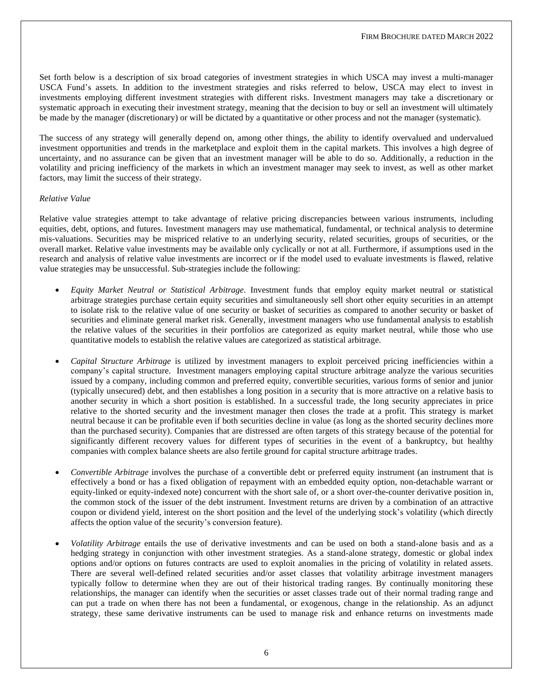Set forth below is a description of six broad categories of investment strategies in which USCA may invest a multi-manager USCA Fund's assets. In addition to the investment strategies and risks referred to below, USCA may elect to invest in investments employing different investment strategies with different risks. Investment managers may take a discretionary or systematic approach in executing their investment strategy, meaning that the decision to buy or sell an investment will ultimately be made by the manager (discretionary) or will be dictated by a quantitative or other process and not the manager (systematic).

The success of any strategy will generally depend on, among other things, the ability to identify overvalued and undervalued investment opportunities and trends in the marketplace and exploit them in the capital markets. This involves a high degree of uncertainty, and no assurance can be given that an investment manager will be able to do so. Additionally, a reduction in the volatility and pricing inefficiency of the markets in which an investment manager may seek to invest, as well as other market factors, may limit the success of their strategy.

#### *Relative Value*

Relative value strategies attempt to take advantage of relative pricing discrepancies between various instruments, including equities, debt, options, and futures. Investment managers may use mathematical, fundamental, or technical analysis to determine mis-valuations. Securities may be mispriced relative to an underlying security, related securities, groups of securities, or the overall market. Relative value investments may be available only cyclically or not at all. Furthermore, if assumptions used in the research and analysis of relative value investments are incorrect or if the model used to evaluate investments is flawed, relative value strategies may be unsuccessful. Sub-strategies include the following:

- *Equity Market Neutral or Statistical Arbitrage*. Investment funds that employ equity market neutral or statistical arbitrage strategies purchase certain equity securities and simultaneously sell short other equity securities in an attempt to isolate risk to the relative value of one security or basket of securities as compared to another security or basket of securities and eliminate general market risk. Generally, investment managers who use fundamental analysis to establish the relative values of the securities in their portfolios are categorized as equity market neutral, while those who use quantitative models to establish the relative values are categorized as statistical arbitrage.
- *Capital Structure Arbitrage* is utilized by investment managers to exploit perceived pricing inefficiencies within a company's capital structure. Investment managers employing capital structure arbitrage analyze the various securities issued by a company, including common and preferred equity, convertible securities, various forms of senior and junior (typically unsecured) debt, and then establishes a long position in a security that is more attractive on a relative basis to another security in which a short position is established. In a successful trade, the long security appreciates in price relative to the shorted security and the investment manager then closes the trade at a profit. This strategy is market neutral because it can be profitable even if both securities decline in value (as long as the shorted security declines more than the purchased security). Companies that are distressed are often targets of this strategy because of the potential for significantly different recovery values for different types of securities in the event of a bankruptcy, but healthy companies with complex balance sheets are also fertile ground for capital structure arbitrage trades.
- *Convertible Arbitrage* involves the purchase of a convertible debt or preferred equity instrument (an instrument that is effectively a bond or has a fixed obligation of repayment with an embedded equity option, non-detachable warrant or equity-linked or equity-indexed note) concurrent with the short sale of, or a short over-the-counter derivative position in, the common stock of the issuer of the debt instrument. Investment returns are driven by a combination of an attractive coupon or dividend yield, interest on the short position and the level of the underlying stock's volatility (which directly affects the option value of the security's conversion feature).
- *Volatility Arbitrage* entails the use of derivative investments and can be used on both a stand-alone basis and as a hedging strategy in conjunction with other investment strategies. As a stand-alone strategy, domestic or global index options and/or options on futures contracts are used to exploit anomalies in the pricing of volatility in related assets. There are several well-defined related securities and/or asset classes that volatility arbitrage investment managers typically follow to determine when they are out of their historical trading ranges. By continually monitoring these relationships, the manager can identify when the securities or asset classes trade out of their normal trading range and can put a trade on when there has not been a fundamental, or exogenous, change in the relationship. As an adjunct strategy, these same derivative instruments can be used to manage risk and enhance returns on investments made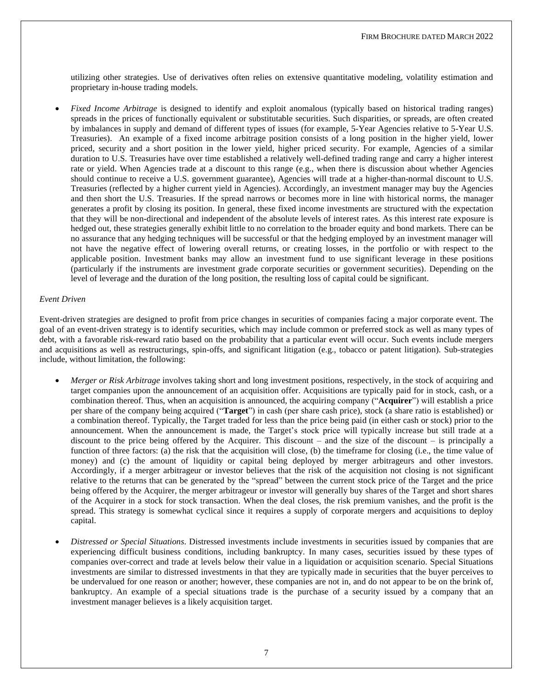utilizing other strategies. Use of derivatives often relies on extensive quantitative modeling, volatility estimation and proprietary in-house trading models.

• *Fixed Income Arbitrage* is designed to identify and exploit anomalous (typically based on historical trading ranges) spreads in the prices of functionally equivalent or substitutable securities. Such disparities, or spreads, are often created by imbalances in supply and demand of different types of issues (for example, 5-Year Agencies relative to 5-Year U.S. Treasuries). An example of a fixed income arbitrage position consists of a long position in the higher yield, lower priced, security and a short position in the lower yield, higher priced security. For example, Agencies of a similar duration to U.S. Treasuries have over time established a relatively well-defined trading range and carry a higher interest rate or yield. When Agencies trade at a discount to this range (e.g., when there is discussion about whether Agencies should continue to receive a U.S. government guarantee), Agencies will trade at a higher-than-normal discount to U.S. Treasuries (reflected by a higher current yield in Agencies). Accordingly, an investment manager may buy the Agencies and then short the U.S. Treasuries. If the spread narrows or becomes more in line with historical norms, the manager generates a profit by closing its position. In general, these fixed income investments are structured with the expectation that they will be non-directional and independent of the absolute levels of interest rates. As this interest rate exposure is hedged out, these strategies generally exhibit little to no correlation to the broader equity and bond markets. There can be no assurance that any hedging techniques will be successful or that the hedging employed by an investment manager will not have the negative effect of lowering overall returns, or creating losses, in the portfolio or with respect to the applicable position. Investment banks may allow an investment fund to use significant leverage in these positions (particularly if the instruments are investment grade corporate securities or government securities). Depending on the level of leverage and the duration of the long position, the resulting loss of capital could be significant.

#### *Event Driven*

Event-driven strategies are designed to profit from price changes in securities of companies facing a major corporate event. The goal of an event-driven strategy is to identify securities, which may include common or preferred stock as well as many types of debt, with a favorable risk-reward ratio based on the probability that a particular event will occur. Such events include mergers and acquisitions as well as restructurings, spin-offs, and significant litigation (e.g., tobacco or patent litigation). Sub-strategies include, without limitation, the following:

- *Merger or Risk Arbitrage* involves taking short and long investment positions, respectively, in the stock of acquiring and target companies upon the announcement of an acquisition offer. Acquisitions are typically paid for in stock, cash, or a combination thereof. Thus, when an acquisition is announced, the acquiring company ("**Acquirer**") will establish a price per share of the company being acquired ("**Target**") in cash (per share cash price), stock (a share ratio is established) or a combination thereof. Typically, the Target traded for less than the price being paid (in either cash or stock) prior to the announcement. When the announcement is made, the Target's stock price will typically increase but still trade at a discount to the price being offered by the Acquirer. This discount – and the size of the discount – is principally a function of three factors: (a) the risk that the acquisition will close, (b) the timeframe for closing (i.e., the time value of money) and (c) the amount of liquidity or capital being deployed by merger arbitrageurs and other investors. Accordingly, if a merger arbitrageur or investor believes that the risk of the acquisition not closing is not significant relative to the returns that can be generated by the "spread" between the current stock price of the Target and the price being offered by the Acquirer, the merger arbitrageur or investor will generally buy shares of the Target and short shares of the Acquirer in a stock for stock transaction. When the deal closes, the risk premium vanishes, and the profit is the spread. This strategy is somewhat cyclical since it requires a supply of corporate mergers and acquisitions to deploy capital.
- *Distressed or Special Situations*. Distressed investments include investments in securities issued by companies that are experiencing difficult business conditions, including bankruptcy. In many cases, securities issued by these types of companies over-correct and trade at levels below their value in a liquidation or acquisition scenario. Special Situations investments are similar to distressed investments in that they are typically made in securities that the buyer perceives to be undervalued for one reason or another; however, these companies are not in, and do not appear to be on the brink of, bankruptcy. An example of a special situations trade is the purchase of a security issued by a company that an investment manager believes is a likely acquisition target.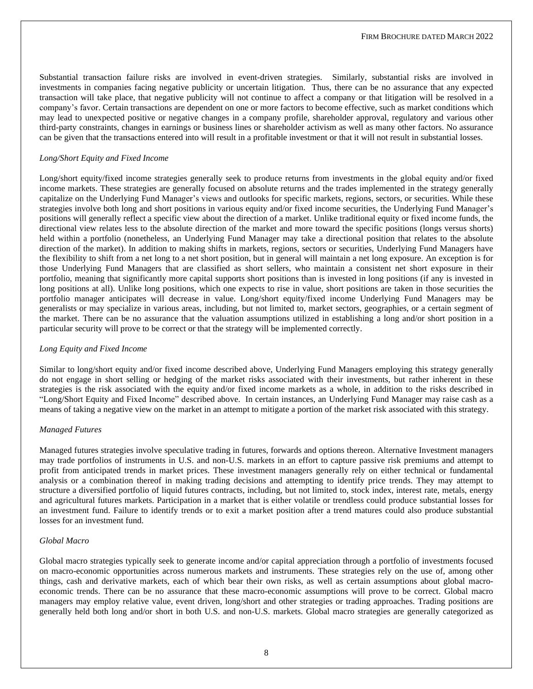Substantial transaction failure risks are involved in event-driven strategies. Similarly, substantial risks are involved in investments in companies facing negative publicity or uncertain litigation. Thus, there can be no assurance that any expected transaction will take place, that negative publicity will not continue to affect a company or that litigation will be resolved in a company's favor. Certain transactions are dependent on one or more factors to become effective, such as market conditions which may lead to unexpected positive or negative changes in a company profile, shareholder approval, regulatory and various other third-party constraints, changes in earnings or business lines or shareholder activism as well as many other factors. No assurance can be given that the transactions entered into will result in a profitable investment or that it will not result in substantial losses.

#### *Long/Short Equity and Fixed Income*

Long/short equity/fixed income strategies generally seek to produce returns from investments in the global equity and/or fixed income markets. These strategies are generally focused on absolute returns and the trades implemented in the strategy generally capitalize on the Underlying Fund Manager's views and outlooks for specific markets, regions, sectors, or securities. While these strategies involve both long and short positions in various equity and/or fixed income securities, the Underlying Fund Manager's positions will generally reflect a specific view about the direction of a market. Unlike traditional equity or fixed income funds, the directional view relates less to the absolute direction of the market and more toward the specific positions (longs versus shorts) held within a portfolio (nonetheless, an Underlying Fund Manager may take a directional position that relates to the absolute direction of the market). In addition to making shifts in markets, regions, sectors or securities, Underlying Fund Managers have the flexibility to shift from a net long to a net short position, but in general will maintain a net long exposure. An exception is for those Underlying Fund Managers that are classified as short sellers, who maintain a consistent net short exposure in their portfolio, meaning that significantly more capital supports short positions than is invested in long positions (if any is invested in long positions at all). Unlike long positions, which one expects to rise in value, short positions are taken in those securities the portfolio manager anticipates will decrease in value. Long/short equity/fixed income Underlying Fund Managers may be generalists or may specialize in various areas, including, but not limited to, market sectors, geographies, or a certain segment of the market. There can be no assurance that the valuation assumptions utilized in establishing a long and/or short position in a particular security will prove to be correct or that the strategy will be implemented correctly.

#### *Long Equity and Fixed Income*

Similar to long/short equity and/or fixed income described above, Underlying Fund Managers employing this strategy generally do not engage in short selling or hedging of the market risks associated with their investments, but rather inherent in these strategies is the risk associated with the equity and/or fixed income markets as a whole, in addition to the risks described in "Long/Short Equity and Fixed Income" described above. In certain instances, an Underlying Fund Manager may raise cash as a means of taking a negative view on the market in an attempt to mitigate a portion of the market risk associated with this strategy.

#### *Managed Futures*

Managed futures strategies involve speculative trading in futures, forwards and options thereon. Alternative Investment managers may trade portfolios of instruments in U.S. and non-U.S. markets in an effort to capture passive risk premiums and attempt to profit from anticipated trends in market prices. These investment managers generally rely on either technical or fundamental analysis or a combination thereof in making trading decisions and attempting to identify price trends. They may attempt to structure a diversified portfolio of liquid futures contracts, including, but not limited to, stock index, interest rate, metals, energy and agricultural futures markets. Participation in a market that is either volatile or trendless could produce substantial losses for an investment fund. Failure to identify trends or to exit a market position after a trend matures could also produce substantial losses for an investment fund.

#### *Global Macro*

Global macro strategies typically seek to generate income and/or capital appreciation through a portfolio of investments focused on macro-economic opportunities across numerous markets and instruments. These strategies rely on the use of, among other things, cash and derivative markets, each of which bear their own risks, as well as certain assumptions about global macroeconomic trends. There can be no assurance that these macro-economic assumptions will prove to be correct. Global macro managers may employ relative value, event driven, long/short and other strategies or trading approaches. Trading positions are generally held both long and/or short in both U.S. and non-U.S. markets. Global macro strategies are generally categorized as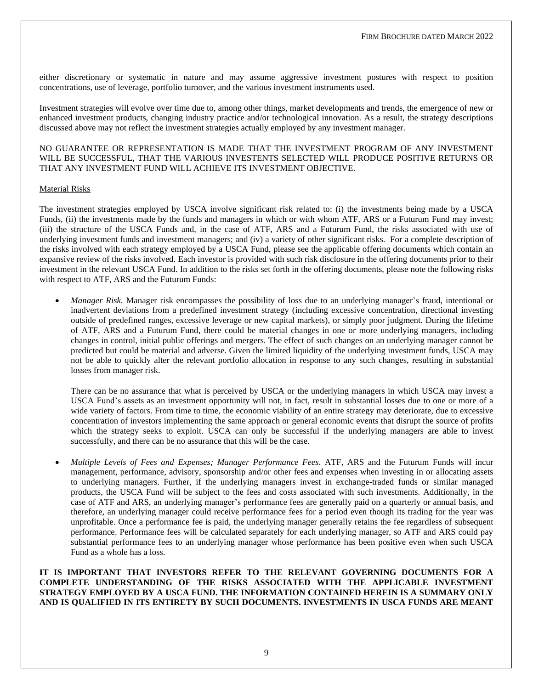either discretionary or systematic in nature and may assume aggressive investment postures with respect to position concentrations, use of leverage, portfolio turnover, and the various investment instruments used.

Investment strategies will evolve over time due to, among other things, market developments and trends, the emergence of new or enhanced investment products, changing industry practice and/or technological innovation. As a result, the strategy descriptions discussed above may not reflect the investment strategies actually employed by any investment manager.

#### NO GUARANTEE OR REPRESENTATION IS MADE THAT THE INVESTMENT PROGRAM OF ANY INVESTMENT WILL BE SUCCESSFUL, THAT THE VARIOUS INVESTENTS SELECTED WILL PRODUCE POSITIVE RETURNS OR THAT ANY INVESTMENT FUND WILL ACHIEVE ITS INVESTMENT OBJECTIVE.

#### Material Risks

The investment strategies employed by USCA involve significant risk related to: (i) the investments being made by a USCA Funds, (ii) the investments made by the funds and managers in which or with whom ATF, ARS or a Futurum Fund may invest; (iii) the structure of the USCA Funds and, in the case of ATF, ARS and a Futurum Fund, the risks associated with use of underlying investment funds and investment managers; and (iv) a variety of other significant risks. For a complete description of the risks involved with each strategy employed by a USCA Fund, please see the applicable offering documents which contain an expansive review of the risks involved. Each investor is provided with such risk disclosure in the offering documents prior to their investment in the relevant USCA Fund. In addition to the risks set forth in the offering documents, please note the following risks with respect to ATF, ARS and the Futurum Funds:

• *Manager Risk*. Manager risk encompasses the possibility of loss due to an underlying manager's fraud, intentional or inadvertent deviations from a predefined investment strategy (including excessive concentration, directional investing outside of predefined ranges, excessive leverage or new capital markets), or simply poor judgment. During the lifetime of ATF, ARS and a Futurum Fund, there could be material changes in one or more underlying managers, including changes in control, initial public offerings and mergers. The effect of such changes on an underlying manager cannot be predicted but could be material and adverse. Given the limited liquidity of the underlying investment funds, USCA may not be able to quickly alter the relevant portfolio allocation in response to any such changes, resulting in substantial losses from manager risk.

There can be no assurance that what is perceived by USCA or the underlying managers in which USCA may invest a USCA Fund's assets as an investment opportunity will not, in fact, result in substantial losses due to one or more of a wide variety of factors. From time to time, the economic viability of an entire strategy may deteriorate, due to excessive concentration of investors implementing the same approach or general economic events that disrupt the source of profits which the strategy seeks to exploit. USCA can only be successful if the underlying managers are able to invest successfully, and there can be no assurance that this will be the case.

• *Multiple Levels of Fees and Expenses; Manager Performance Fees*. ATF, ARS and the Futurum Funds will incur management, performance, advisory, sponsorship and/or other fees and expenses when investing in or allocating assets to underlying managers. Further, if the underlying managers invest in exchange-traded funds or similar managed products, the USCA Fund will be subject to the fees and costs associated with such investments. Additionally, in the case of ATF and ARS, an underlying manager's performance fees are generally paid on a quarterly or annual basis, and therefore, an underlying manager could receive performance fees for a period even though its trading for the year was unprofitable. Once a performance fee is paid, the underlying manager generally retains the fee regardless of subsequent performance. Performance fees will be calculated separately for each underlying manager, so ATF and ARS could pay substantial performance fees to an underlying manager whose performance has been positive even when such USCA Fund as a whole has a loss.

**IT IS IMPORTANT THAT INVESTORS REFER TO THE RELEVANT GOVERNING DOCUMENTS FOR A COMPLETE UNDERSTANDING OF THE RISKS ASSOCIATED WITH THE APPLICABLE INVESTMENT STRATEGY EMPLOYED BY A USCA FUND. THE INFORMATION CONTAINED HEREIN IS A SUMMARY ONLY AND IS QUALIFIED IN ITS ENTIRETY BY SUCH DOCUMENTS. INVESTMENTS IN USCA FUNDS ARE MEANT**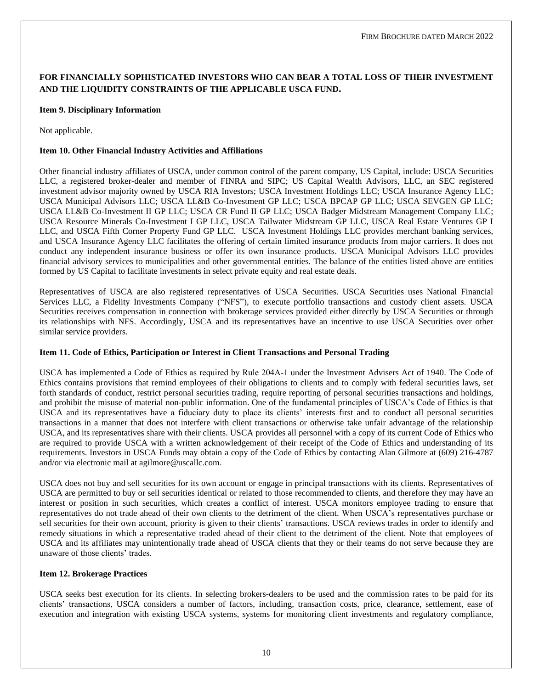## **FOR FINANCIALLY SOPHISTICATED INVESTORS WHO CAN BEAR A TOTAL LOSS OF THEIR INVESTMENT AND THE LIQUIDITY CONSTRAINTS OF THE APPLICABLE USCA FUND.**

#### <span id="page-10-0"></span>**Item 9. Disciplinary Information**

Not applicable.

#### <span id="page-10-1"></span>**Item 10. Other Financial Industry Activities and Affiliations**

Other financial industry affiliates of USCA, under common control of the parent company, US Capital, include: USCA Securities LLC, a registered broker-dealer and member of FINRA and SIPC; US Capital Wealth Advisors, LLC, an SEC registered investment advisor majority owned by USCA RIA Investors; USCA Investment Holdings LLC; USCA Insurance Agency LLC; USCA Municipal Advisors LLC; USCA LL&B Co-Investment GP LLC; USCA BPCAP GP LLC; USCA SEVGEN GP LLC; USCA LL&B Co-Investment II GP LLC; USCA CR Fund II GP LLC; USCA Badger Midstream Management Company LLC; USCA Resource Minerals Co-Investment I GP LLC, USCA Tailwater Midstream GP LLC, USCA Real Estate Ventures GP I LLC, and USCA Fifth Corner Property Fund GP LLC. USCA Investment Holdings LLC provides merchant banking services, and USCA Insurance Agency LLC facilitates the offering of certain limited insurance products from major carriers. It does not conduct any independent insurance business or offer its own insurance products. USCA Municipal Advisors LLC provides financial advisory services to municipalities and other governmental entities. The balance of the entities listed above are entities formed by US Capital to facilitate investments in select private equity and real estate deals.

Representatives of USCA are also registered representatives of USCA Securities. USCA Securities uses National Financial Services LLC, a Fidelity Investments Company ("NFS"), to execute portfolio transactions and custody client assets. USCA Securities receives compensation in connection with brokerage services provided either directly by USCA Securities or through its relationships with NFS. Accordingly, USCA and its representatives have an incentive to use USCA Securities over other similar service providers.

#### <span id="page-10-2"></span>**Item 11. Code of Ethics, Participation or Interest in Client Transactions and Personal Trading**

USCA has implemented a Code of Ethics as required by Rule 204A‐1 under the Investment Advisers Act of 1940. The Code of Ethics contains provisions that remind employees of their obligations to clients and to comply with federal securities laws, set forth standards of conduct, restrict personal securities trading, require reporting of personal securities transactions and holdings, and prohibit the misuse of material non-public information. One of the fundamental principles of USCA's Code of Ethics is that USCA and its representatives have a fiduciary duty to place its clients' interests first and to conduct all personal securities transactions in a manner that does not interfere with client transactions or otherwise take unfair advantage of the relationship USCA, and its representatives share with their clients. USCA provides all personnel with a copy of its current Code of Ethics who are required to provide USCA with a written acknowledgement of their receipt of the Code of Ethics and understanding of its requirements. Investors in USCA Funds may obtain a copy of the Code of Ethics by contacting Alan Gilmore at (609) 216-4787 and/or via electronic mail at agilmore@uscallc.com.

USCA does not buy and sell securities for its own account or engage in principal transactions with its clients. Representatives of USCA are permitted to buy or sell securities identical or related to those recommended to clients, and therefore they may have an interest or position in such securities, which creates a conflict of interest. USCA monitors employee trading to ensure that representatives do not trade ahead of their own clients to the detriment of the client. When USCA's representatives purchase or sell securities for their own account, priority is given to their clients' transactions. USCA reviews trades in order to identify and remedy situations in which a representative traded ahead of their client to the detriment of the client. Note that employees of USCA and its affiliates may unintentionally trade ahead of USCA clients that they or their teams do not serve because they are unaware of those clients' trades.

#### <span id="page-10-3"></span>**Item 12. Brokerage Practices**

USCA seeks best execution for its clients. In selecting brokers-dealers to be used and the commission rates to be paid for its clients' transactions, USCA considers a number of factors, including, transaction costs, price, clearance, settlement, ease of execution and integration with existing USCA systems, systems for monitoring client investments and regulatory compliance,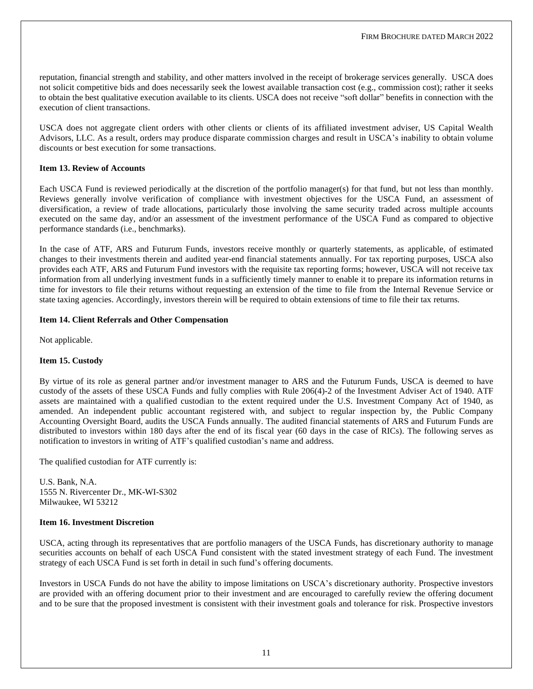reputation, financial strength and stability, and other matters involved in the receipt of brokerage services generally. USCA does not solicit competitive bids and does necessarily seek the lowest available transaction cost (e.g., commission cost); rather it seeks to obtain the best qualitative execution available to its clients. USCA does not receive "soft dollar" benefits in connection with the execution of client transactions.

USCA does not aggregate client orders with other clients or clients of its affiliated investment adviser, US Capital Wealth Advisors, LLC. As a result, orders may produce disparate commission charges and result in USCA's inability to obtain volume discounts or best execution for some transactions.

#### <span id="page-11-0"></span>**Item 13. Review of Accounts**

Each USCA Fund is reviewed periodically at the discretion of the portfolio manager(s) for that fund, but not less than monthly. Reviews generally involve verification of compliance with investment objectives for the USCA Fund, an assessment of diversification, a review of trade allocations, particularly those involving the same security traded across multiple accounts executed on the same day, and/or an assessment of the investment performance of the USCA Fund as compared to objective performance standards (i.e., benchmarks).

In the case of ATF, ARS and Futurum Funds, investors receive monthly or quarterly statements, as applicable, of estimated changes to their investments therein and audited year-end financial statements annually. For tax reporting purposes, USCA also provides each ATF, ARS and Futurum Fund investors with the requisite tax reporting forms; however, USCA will not receive tax information from all underlying investment funds in a sufficiently timely manner to enable it to prepare its information returns in time for investors to file their returns without requesting an extension of the time to file from the Internal Revenue Service or state taxing agencies. Accordingly, investors therein will be required to obtain extensions of time to file their tax returns.

#### <span id="page-11-1"></span>**Item 14. Client Referrals and Other Compensation**

<span id="page-11-2"></span>Not applicable.

#### **Item 15. Custody**

By virtue of its role as general partner and/or investment manager to ARS and the Futurum Funds, USCA is deemed to have custody of the assets of these USCA Funds and fully complies with Rule 206(4)-2 of the Investment Adviser Act of 1940. ATF assets are maintained with a qualified custodian to the extent required under the U.S. Investment Company Act of 1940, as amended. An independent public accountant registered with, and subject to regular inspection by, the Public Company Accounting Oversight Board, audits the USCA Funds annually. The audited financial statements of ARS and Futurum Funds are distributed to investors within 180 days after the end of its fiscal year (60 days in the case of RICs). The following serves as notification to investors in writing of ATF's qualified custodian's name and address.

The qualified custodian for ATF currently is:

U.S. Bank, N.A. 1555 N. Rivercenter Dr., MK-WI-S302 Milwaukee, WI 53212

#### <span id="page-11-3"></span>**Item 16. Investment Discretion**

USCA, acting through its representatives that are portfolio managers of the USCA Funds, has discretionary authority to manage securities accounts on behalf of each USCA Fund consistent with the stated investment strategy of each Fund. The investment strategy of each USCA Fund is set forth in detail in such fund's offering documents.

Investors in USCA Funds do not have the ability to impose limitations on USCA's discretionary authority. Prospective investors are provided with an offering document prior to their investment and are encouraged to carefully review the offering document and to be sure that the proposed investment is consistent with their investment goals and tolerance for risk. Prospective investors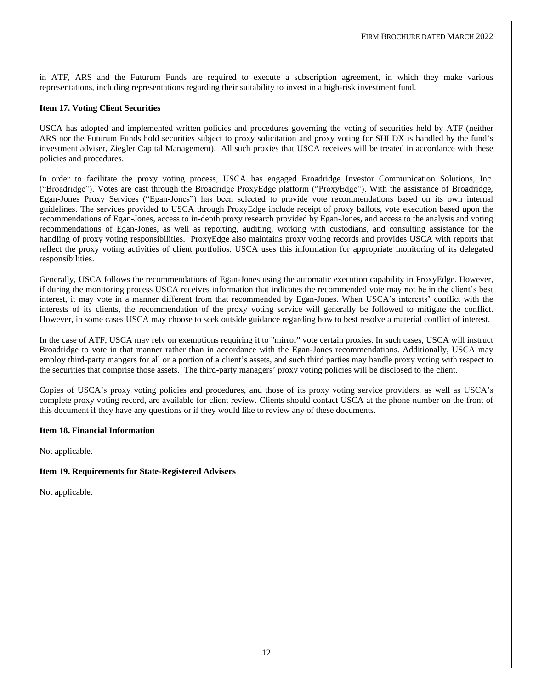in ATF, ARS and the Futurum Funds are required to execute a subscription agreement, in which they make various representations, including representations regarding their suitability to invest in a high-risk investment fund.

#### <span id="page-12-0"></span>**Item 17. Voting Client Securities**

USCA has adopted and implemented written policies and procedures governing the voting of securities held by ATF (neither ARS nor the Futurum Funds hold securities subject to proxy solicitation and proxy voting for SHLDX is handled by the fund's investment adviser, Ziegler Capital Management). All such proxies that USCA receives will be treated in accordance with these policies and procedures.

In order to facilitate the proxy voting process, USCA has engaged Broadridge Investor Communication Solutions, Inc. ("Broadridge"). Votes are cast through the Broadridge ProxyEdge platform ("ProxyEdge"). With the assistance of Broadridge, Egan-Jones Proxy Services ("Egan-Jones") has been selected to provide vote recommendations based on its own internal guidelines. The services provided to USCA through ProxyEdge include receipt of proxy ballots, vote execution based upon the recommendations of Egan-Jones, access to in-depth proxy research provided by Egan-Jones, and access to the analysis and voting recommendations of Egan-Jones, as well as reporting, auditing, working with custodians, and consulting assistance for the handling of proxy voting responsibilities. ProxyEdge also maintains proxy voting records and provides USCA with reports that reflect the proxy voting activities of client portfolios. USCA uses this information for appropriate monitoring of its delegated responsibilities.

Generally, USCA follows the recommendations of Egan-Jones using the automatic execution capability in ProxyEdge. However, if during the monitoring process USCA receives information that indicates the recommended vote may not be in the client's best interest, it may vote in a manner different from that recommended by Egan-Jones. When USCA's interests' conflict with the interests of its clients, the recommendation of the proxy voting service will generally be followed to mitigate the conflict. However, in some cases USCA may choose to seek outside guidance regarding how to best resolve a material conflict of interest.

In the case of ATF, USCA may rely on exemptions requiring it to "mirror" vote certain proxies. In such cases, USCA will instruct Broadridge to vote in that manner rather than in accordance with the Egan-Jones recommendations. Additionally, USCA may employ third-party mangers for all or a portion of a client's assets, and such third parties may handle proxy voting with respect to the securities that comprise those assets. The third-party managers' proxy voting policies will be disclosed to the client.

Copies of USCA's proxy voting policies and procedures, and those of its proxy voting service providers, as well as USCA's complete proxy voting record, are available for client review. Clients should contact USCA at the phone number on the front of this document if they have any questions or if they would like to review any of these documents.

#### <span id="page-12-1"></span>**Item 18. Financial Information**

Not applicable.

### <span id="page-12-2"></span>**Item 19. Requirements for State-Registered Advisers**

Not applicable.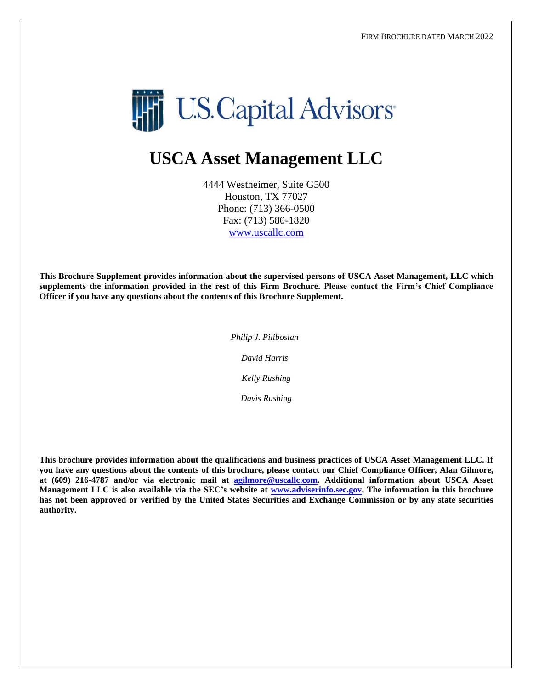

# **USCA Asset Management LLC**

4444 Westheimer, Suite G500 Houston, TX 77027 Phone: (713) 366-0500 Fax: (713) 580-1820 [www.uscallc.com](http://www.uscallc.com/)

**This Brochure Supplement provides information about the supervised persons of USCA Asset Management, LLC which supplements the information provided in the rest of this Firm Brochure. Please contact the Firm's Chief Compliance Officer if you have any questions about the contents of this Brochure Supplement.**

> *Philip J. Pilibosian David Harris Kelly Rushing*

> > *Davis Rushing*

**This brochure provides information about the qualifications and business practices of USCA Asset Management LLC. If you have any questions about the contents of this brochure, please contact our Chief Compliance Officer, Alan Gilmore, at (609) 216-4787 and/or via electronic mail at [agilmore@uscallc.com.](mailto:agilmore@uscallc.com) Additional information about USCA Asset Management LLC is also available via the SEC's website at [www.adviserinfo.sec.gov.](http://www.adviserinfo.sec.gov/) The information in this brochure has not been approved or verified by the United States Securities and Exchange Commission or by any state securities authority.**